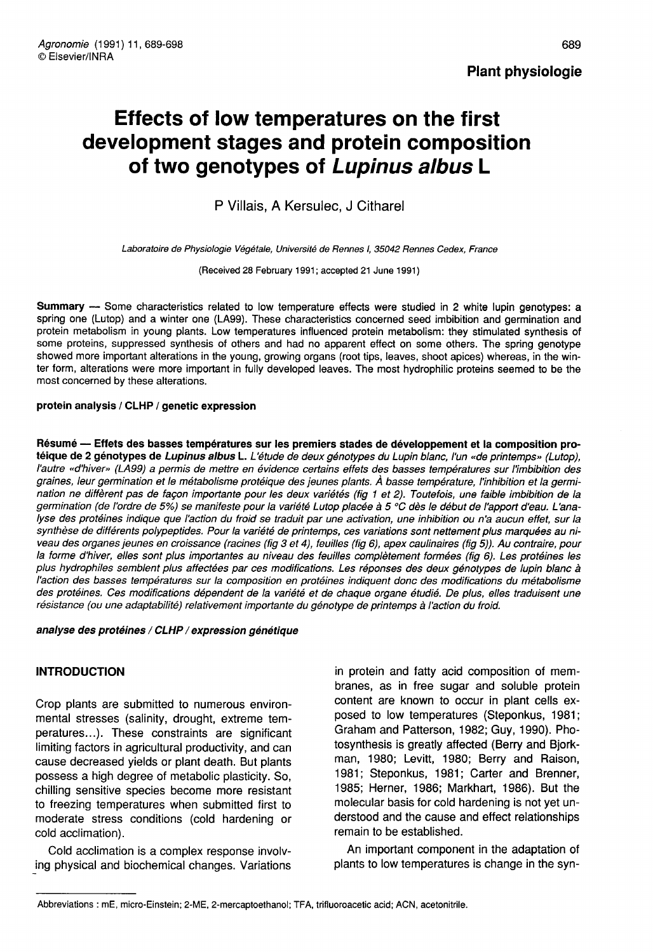# Effects of low temperatures on the first development stages and protein composition of two genotypes of Lupinus albus L

P Villais, A Kersulec, J Citharel

Laboratoire de Physiologie Végétale, Université de Rennes I, 35042 Rennes Cedex, France

(Received 28 February 1991; accepted 21 June 1991)

Summary - Some characteristics related to low temperature effects were studied in 2 white lupin genotypes: a spring one (Lutop) and a winter one (LA99). These characteristics concerned seed imbibition and germination and protein metabolism in young plants. Low temperatures influenced protein metabolism: they stimulated synthesis of some proteins, suppressed synthesis of others and had no apparent effect on some others. The spring genotype showed more important alterations in the young, growing organs (root tips, leaves, shoot apices) whereas, in the winter form, alterations were more important in fully developed leaves. The most hydrophilic proteins seemed to be the most concerned by these alterations.

## protein analysis / CLHP / genetic expression

Résumé — Effets des basses températures sur les premiers stades de développement et la composition protéique de 2 génotypes de Lupinus albus L. L'étude de deux génotypes du Lupin blanc, l'un «de printemps» (Lutop), l'autre «d'hiver» (LA99) a permis de mettre en évidence certains effets des basses températures sur l'imbibition des graines, leur germination et le métabolisme protéique des jeunes plants. À basse température, l'inhibition et la germination ne diffèrent pas de façon importante pour les deux variétés (fig 1 et 2). Toutefois, une faible imbibition de la germination (de l'ordre de 5%) se manifeste pour la variété Lutop placée à 5 °C dès le début de l'apport d'eau. L'analyse des protéines indique que l'action du froid se traduit par une activation, une inhibition ou n'a aucun effet, sur la synthèse de différents polypeptides. Pour la variété de printemps, ces variations sont nettement plus marquées au niveau des organes jeunes en croissance (racines (fig 3 et 4), feuilles (fig 6), apex caulinaires (fig 5)). Au contraire, pour la forme d'hiver, elles sont plus importantes au niveau des feuilles complètement formées (fig 6). Les protéines les plus hydrophiles semblent plus affectées par ces modifications. Les réponses des deux génotypes de lupin blanc à l'action des basses températures sur la composition en protéines indiquent donc des modifications du métabolisme des protéines. Ces modifications dépendent de la variété et de chaque organe étudié. De plus, elles traduisent une résistance (ou une adaptabilité) relativement importante du génotype de printemps à l'action du froid.

## analyse des protéines / CLHP / expression génétique

# INTRODUCTION

Crop plants are submitted to numerous environmental stresses (salinity, drought, extreme temperatures...). These constraints are significant limiting factors in agricultural productivity, and can cause decreased yields or plant death. But plants possess a high degree of metabolic plasticity. So, chilling sensitive species become more resistant to freezing temperatures when submitted first to moderate stress conditions (cold hardening or cold acclimation).

Cold acclimation is a complex response involving physical and biochemical changes. Variations

in protein and fatty acid composition of membranes, as in free sugar and soluble protein content are known to occur in plant cells exposed to low temperatures (Steponkus, 1981; Graham and Patterson, 1982; Guy, 1990). Photosynthesis is greatly affected (Berry and Bjorkman, 1980; Levitt, 1980; Berry and Raison, 1981; Steponkus, 1981; Carter and Brenner, 1985; Herner, 1986; Markhart, 1986). But the molecular basis for cold hardening is not yet understood and the cause and effect relationships remain to be established.

An important component in the adaptation of plants to low temperatures is change in the syn-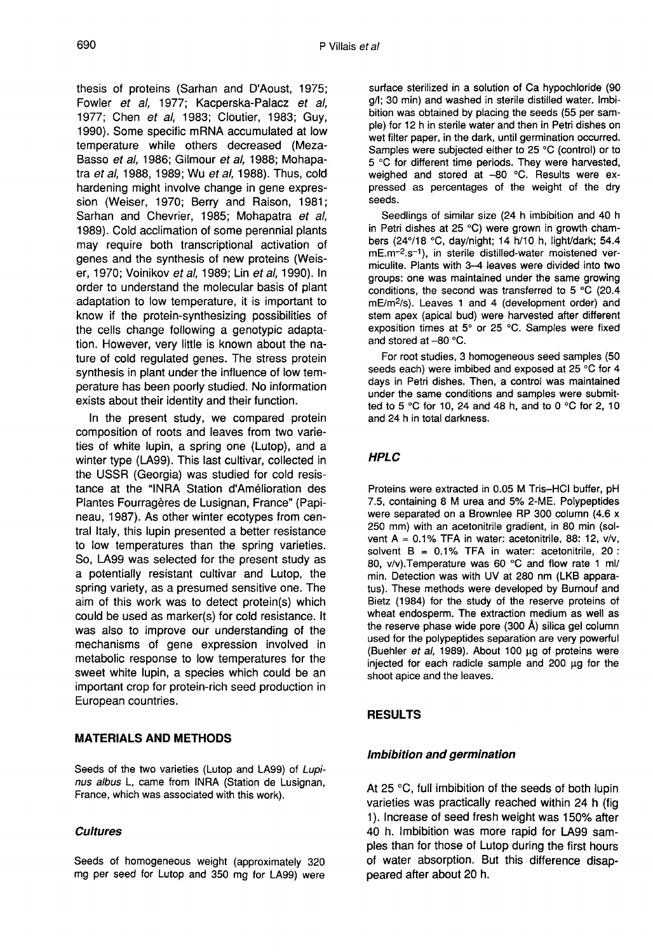thesis of proteins (Sarhan and D'Aoust, 1975; Fowler et al, 1977; Kacperska-Palacz et al, 1977; Chen et al, 1983; Cloutier, 1983; Guy, 1990). Some specific mRNA accumulated at low temperature while others decreased (Meza-Basso et al, 1986; Gilmour et al, 1988; Mohapatra et al, 1988, 1989; Wu et al, 1988). Thus, cold hardening might involve change in gene expression (Weiser, 1970; Berry and Raison, 1981; Sarhan and Chevrier, 1985; Mohapatra et al, 1989). Cold acclimation of some perennial plants may require both transcriptional activation of genes and the synthesis of new proteins (Weiser, 1970; Voinikov et al, 1989; Lin et al, 1990). In order to understand the molecular basis of plant adaptation to low temperature, it is important to know if the protein-synthesizing possibilities of the cells change following a genotypic adaptation. However, very little is known about the nature of cold regulated genes. The stress protein synthesis in plant under the influence of low temperature has been poorly studied. No information exists about their identity and their function.

In the present study, we compared protein composition of roots and leaves from two varieties of white lupin, a spring one (Lutop), and a winter type (LA99). This last cultivar, collected in the USSR (Georgia) was studied for cold resistance at the "INRA Station d'Amélioration des Plantes Fourragères de Lusignan, France" (Papineau, 1987). As other winter ecotypes from central Italy, this lupin presented a better resistance to low temperatures than the spring varieties. So, LA99 was selected for the present study as a potentially resistant cultivar and Lutop, the spring variety, as a presumed sensitive one. The aim of this work was to detect protein(s) which could be used as marker(s) for cold resistance. It was also to improve our understanding of the mechanisms of gene expression involved in metabolic response to low temperatures for the sweet white lupin, a species which could be an important crop for protein-rich seed production in European countries.

# MATERIALS AND METHODS

Seeds of the two varieties (Lutop and LA99) of Lupi nus albus L, came from INRA (Station de Lusignan, France, which was associated with this work).

# **Cultures**

Seeds of homogeneous weight (approximately 320 mg per seed for Lutop and 350 mg for LA99) were surface sterilized in a solution of Ca hypochloride (90 g/l; 30 min) and washed in sterile distilled water. Imbibition was obtained by placing the seeds (55 per sample) for 12 h in sterile water and then in Petri dishes on wet filter paper, in the dark, until germination occurred. Samples were subjected either to 25 °C (control) or to 5 °C for different time periods. They were harvested, weighed and stored at -80 °C. Results were expressed as percentages of the weight of the dry seeds.

Seedlings of similar size (24 h imbibition and 40 h in Petri dishes at 25 °C) were grown in growth cham-<br>bers (24°/18 °C, day/night; 14 h/10 h, light/dark; 54.4<br>mE.m<sup>-2</sup>.s<sup>-1</sup>), in sterile distilled-water moistened ver-<br>miculite. Plants with 3–4 leaves were divided into two bers (24°/18 °C, day/night; 14 h/10 h, light/dark; 54.4 mE.m<sup>-2</sup>.s<sup>-1</sup>), in sterile distilled-water moistened vermiculite. Plants with 3-4 leaves were divided into two groups: one was maintained under the same growing conditions, the second was transferred to 5 °C (20.4 mE/m<sup>2</sup>/s). Leaves 1 and 4 (development order) and mE.m<sup>-2</sup>.s<sup>-1</sup>), in sterile distilled-water moistened ver-<br>miculite. Plants with 3-4 leaves were divided into two<br>groups: one was maintained under the same growing<br>conditions, the second was transferred to 5 °C (20.4<br>mE/m<sup></sup> stem apex (apical bud) were harvested after different exposition times at 5° or 25 °C. Samples were fixed and stored at  $-80$  °C.

For root studies, 3 homogeneous seed samples (50 seeds each) were imbibed and exposed at 25 °C for 4 days in Petri dishes. Then, a control was maintained under the same conditions and samples were submitted to 5 °C for 10, 24 and 48 h, and to 0 °C for 2, 10 and 24 h in total darkness.

# HPLC

Proteins were extracted in 0.05 M Tris-HCl buffer, pH were separated on a Brownlee RP 300 column (4.6 x 250 mm) with an acetonitrile gradient, in 80 min (sol- vent A = 0.1% TFA in water: acetonitrile, 88: 12, v/v, solvent  $B = 0.1\%$  TFA in water: acetonitrile, 20 : 80, v/v).Temperature was 60 °C and flow rate 1 ml/ min. Detection was with UV at 280 nm (LKB apparatus). These methods were developed by Burnouf and Bietz (1984) for the study of the reserve proteins of wheat endosperm. The extraction medium as well as the reserve phase wide pore (300  $\AA$ ) silica gel column used for the polypeptides separation are very powerful (Buehler et al, 1989). About 100 μg of proteins were injected for each radicle sample and 200 μg for the shoot apice and the leaves.

# RESULTS

# Imbibition and germination

At 25 °C, full imbibition of the seeds of both lupin varieties was practically reached within 24 h (fig 1). Increase of seed fresh weight was 150% after 40 h. Imbibition was more rapid for LA99 samples than for those of Lutop during the first hours of water absorption. But this difference disappeared after about 20 h.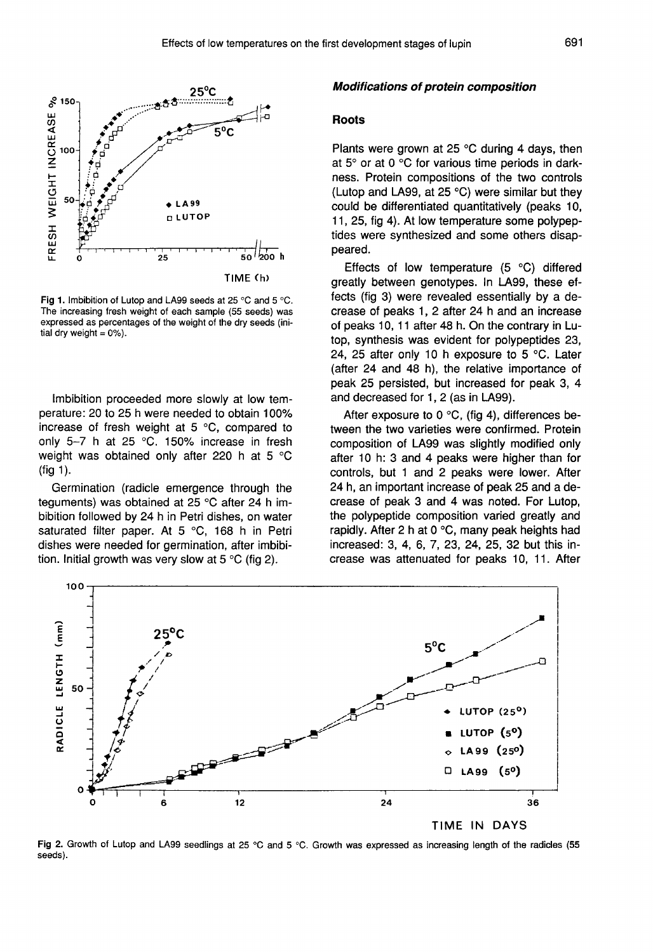

Fig 1. Imbibition of Lutop and LA99 seeds at 25 °C and 5 °C. The increasing fresh weight of each sample (55 seeds) was expressed as percentages of the weight of the dry seeds (initial dry weight =  $0\%$ ).

Imbibition proceeded more slowly at low temperature: 20 to 25 h were needed to obtain 100% increase of fresh weight at 5 °C, compared to only 5-7 h at 25 °C. 150% increase in fresh weight was obtained only after 220 h at 5 °C (fig 1).

Germination (radicle emergence through the teguments) was obtained at 25 °C after 24 h imbibition followed by 24 h in Petri dishes, on water saturated filter paper. At 5 °C, 168 h in Petri dishes were needed for germination, after imbibition. Initial growth was very slow at 5 °C (fig 2).

#### Modifications of protein composition

### Roots

Plants were grown at 25 °C during 4 days, then at 5° or at 0 °C for various time periods in darkness. Protein compositions of the two controls (Lutop and LA99, at 25 °C) were similar but they could be differentiated quantitatively (peaks 10, 11, 25, fig 4). At low temperature some polypeptides were synthesized and some others disappeared.

Effects of low temperature (5 °C) differed greatly between genotypes. In LA99, these effects (fig 3) were revealed essentially by a decrease of peaks 1, 2 after 24 h and an increase of peaks 10, 11 after 48 h. On the contrary in Lutop, synthesis was evident for polypeptides 23, 24, 25 after only 10 h exposure to 5  $\degree$ C. Later (after 24 and 48 h), the relative importance of peak 25 persisted, but increased for peak 3, 4 and decreased for 1, 2 (as in LA99).

After exposure to 0 °C, (fig 4), differences between the two varieties were confirmed. Protein composition of LA99 was slightly modified only after 10 h: 3 and 4 peaks were higher than for controls, but 1 and 2 peaks were lower. After 24 h, an important increase of peak 25 and a decrease of peak 3 and 4 was noted. For Lutop, the polypeptide composition varied greatly and rapidly. After 2 h at 0 °C, many peak heights had increased: 3, 4, 6, 7, 23, 24, 25, 32 but this increase was attenuated for peaks 10, 11. After



Fig 2. Growth of Lutop and LA99 seedlings at 25 °C and 5 °C. Growth was expressed as increasing length of the radicles (55 seeds).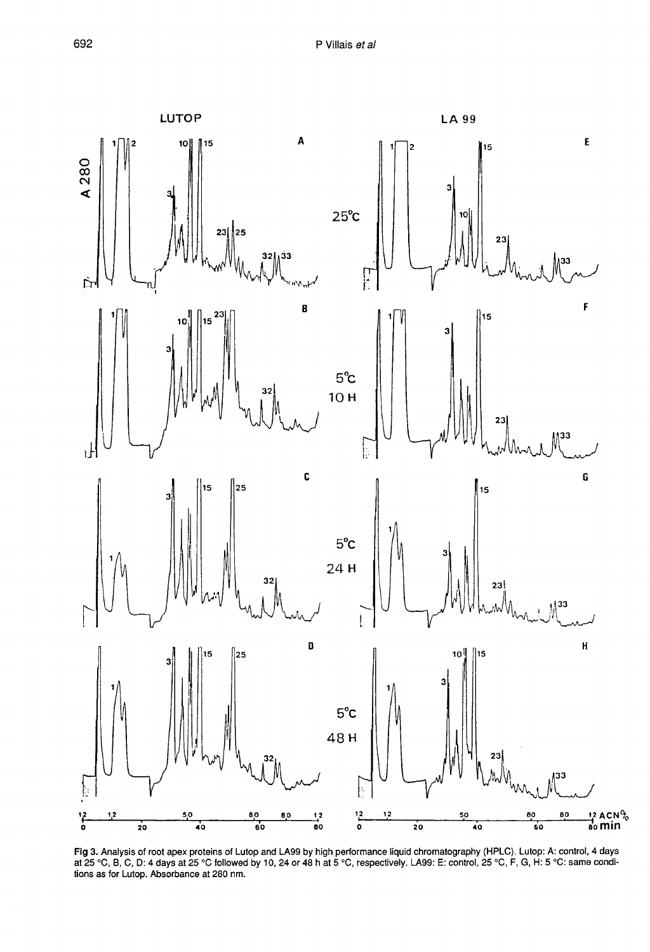

Fig 3. Analysis of root apex proteins of Lutop and LA99 by high performance liquid chromatography (HPLC). Lutop: A: control, 4 days at 25 °C followed by 10, 24 or 48 h at 5 °C, respectively. LA99: E: control, 25 °C, F, G, tions as for Lutop. Absorbance at 280 nm.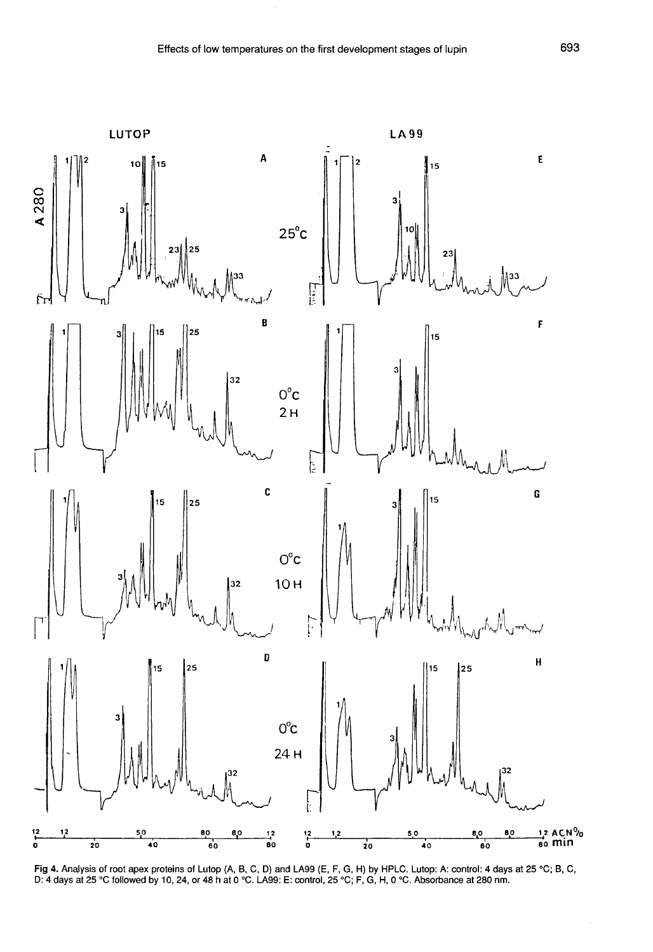

Fig 4. Analysis of root apex proteins of Lutop (A, B, C, D) and LA99 (E, F, G, H) by HPLC. Lutop: A: control: 4 days at 25 °C; B, C, D: 4 days at 25 °C; B, C, D: 4 days at 25 °C followed by 10, 24, or 48 h at 0 °C. LA99: E

 $\hat{\boldsymbol{\alpha}}$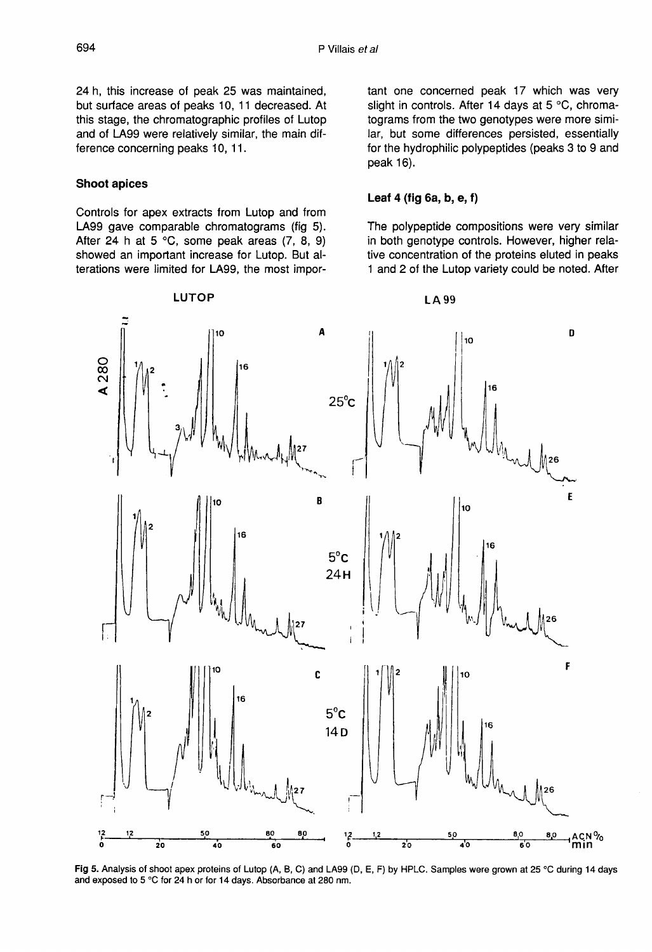24 h, this increase of peak 25 was maintained, but surface areas of peaks 10, 11 decreased. At this stage, the chromatographic profiles of Lutop and of LA99 were relatively similar, the main difference concerning peaks 10, 11.

## Shoot apices

Controls for apex extracts from Lutop and from LA99 gave comparable chromatograms (fig 5). After 24 h at 5  $^{\circ}$ C, some peak areas (7, 8, 9) showed an important increase for Lutop. But alterations were limited for LA99, the most important one concerned peak 17 which was very slight in controls. After 14 days at 5 °C, chromatograms from the two genotypes were more similar, but some differences persisted, essentially for the hydrophilic polypeptides (peaks 3 to 9 and peak 16).

## Leaf 4 (fig 6a, b, e, f)

The polypeptide compositions were very similar in both genotype controls. However, higher relative concentration of the proteins eluted in peaks 1 and 2 of the Lutop variety could be noted. After



Fig 5. Analysis of shoot apex proteins of Lutop (A, B, C) and LA99 (D, E, F) by HPLC. Samples were grown at 25 °C during 14 days and exposed to 5 °C for 24 h or for 14 days. Absorbance at 280 nm.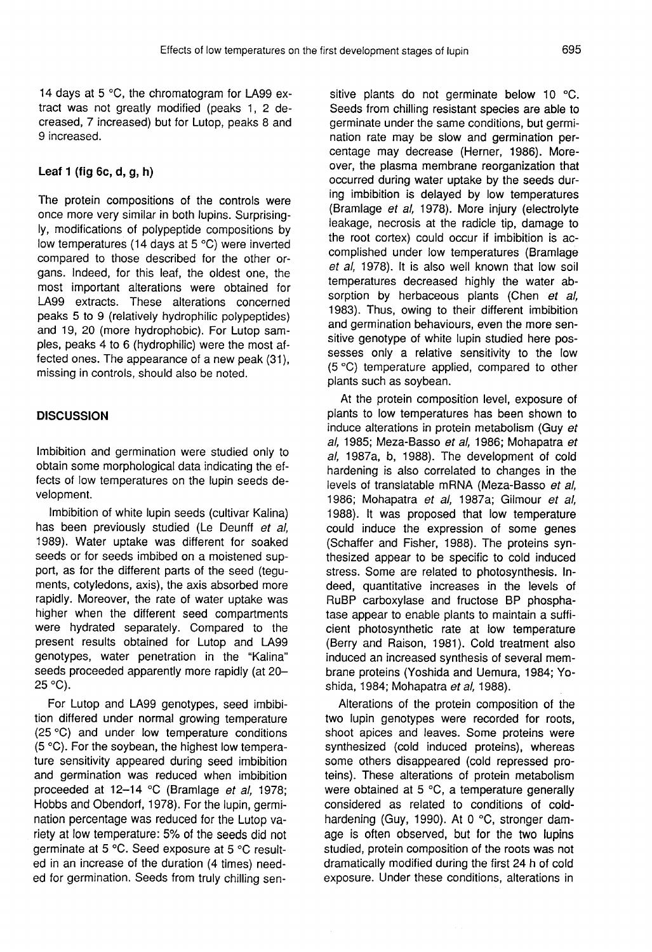14 days at 5 °C, the chromatogram for LA99 extract was not greatly modified (peaks 1, 2 decreased, 7 increased) but for Lutop, peaks 8 and 9 increased.

# Leaf 1 (fig 6c, d,  $a, h$ )

The protein compositions of the controls were once more very similar in both lupins. Surprisingly, modifications of polypeptide compositions by low temperatures (14 days at 5 °C) were inverted compared to those described for the other organs. Indeed, for this leaf, the oldest one, the most important alterations were obtained for LA99 extracts. These alterations concerned peaks 5 to 9 (relatively hydrophilic polypeptides) and 19, 20 (more hydrophobic). For Lutop samples, peaks 4 to 6 (hydrophilic) were the most affected ones. The appearance of a new peak (31), missing in controls, should also be noted.

# **DISCUSSION**

Imbibition and germination were studied only to obtain some morphological data indicating the effects of low temperatures on the lupin seeds development.

Imbibition of white lupin seeds (cultivar Kalina) has been previously studied (Le Deunff et al, 1989). Water uptake was different for soaked seeds or for seeds imbibed on a moistened support, as for the different parts of the seed (teguments, cotyledons, axis), the axis absorbed more rapidly. Moreover, the rate of water uptake was higher when the different seed compartments were hydrated separately. Compared to the present results obtained for Lutop and LA99 genotypes, water penetration in the "Kalina" seeds proceeded apparently more rapidly (at 20-25 °C).

For Lutop and LA99 genotypes, seed imbibition differed under normal growing temperature (25 °C) and under low temperature conditions (5 °C). For the soybean, the highest low temperature sensitivity appeared during seed imbibition and germination was reduced when imbibition proceeded at 12-14 °C (Bramlage et al, 1978; Hobbs and Obendorf, 1978). For the lupin, germination percentage was reduced for the Lutop variety at low temperature: 5% of the seeds did not germinate at 5 °C. Seed exposure at 5 °C resulted in an increase of the duration (4 times) needed for germination. Seeds from truly chilling sen-

sitive plants do not germinate below 10 °C. Seeds from chilling resistant species are able to germinate under the same conditions, but germination rate may be slow and germination percentage may decrease (Herner, 1986). Moreover, the plasma membrane reorganization that occurred during water uptake by the seeds during imbibition is delayed by low temperatures (Bramlage et al, 1978). More injury (electrolyte leakage, necrosis at the radicle tip, damage to the root cortex) could occur if imbibition is accomplished under low temperatures (Bramlage et al, 1978). It is also well known that low soil temperatures decreased highly the water absorption by herbaceous plants (Chen et al, 1983). Thus, owing to their different imbibition and germination behaviours, even the more sensitive genotype of white lupin studied here possesses only a relative sensitivity to the low (5 °C) temperature applied, compared to other plants such as soybean.

At the protein composition level, exposure of plants to low temperatures has been shown to induce alterations in protein metabolism (Guy et al, 1985; Meza-Basso et al, 1986; Mohapatra et al, 1987a, b, 1988). The development of cold hardening is also correlated to changes in the levels of translatable mRNA (Meza-Basso et al, 1986; Mohapatra et al, 1987a; Gilmour et al, 1988). It was proposed that low temperature could induce the expression of some genes (Schaffer and Fisher, 1988). The proteins synthesized appear to be specific to cold induced stress. Some are related to photosynthesis. Indeed, quantitative increases in the levels of RuBP carboxylase and fructose BP phosphatase appear to enable plants to maintain a sufficient photosynthetic rate at low temperature (Berry and Raison, 1981). Cold treatment also induced an increased synthesis of several membrane proteins (Yoshida and Uemura, 1984; Yoshida, 1984; Mohapatra et al. 1988).

Alterations of the protein composition of the two lupin genotypes were recorded for roots, shoot apices and leaves. Some proteins were synthesized (cold induced proteins), whereas some others disappeared (cold repressed proteins). These alterations of protein metabolism were obtained at 5 °C, a temperature generally considered as related to conditions of coldhardening (Guy, 1990). At 0 °C, stronger damage is often observed, but for the two lupins studied, protein composition of the roots was not dramatically modified during the first 24 h of cold exposure. Under these conditions, alterations in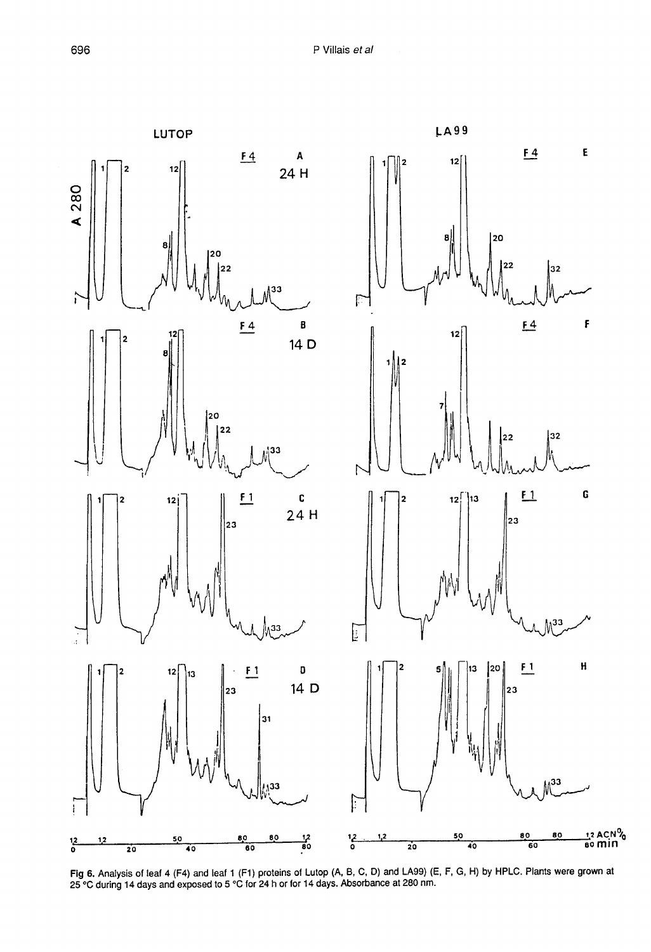

Fig 6. Analysis of leaf 4 (F4) and leaf 1 (F1) proteins of Lutop (A, B, C, D) and LA99) (E, F, G, H) by HPLC. Plants were grown at 25 °C during 14 days and exposed to 5 °C for 24 h or for 14 days. Absorbance at 280 nm.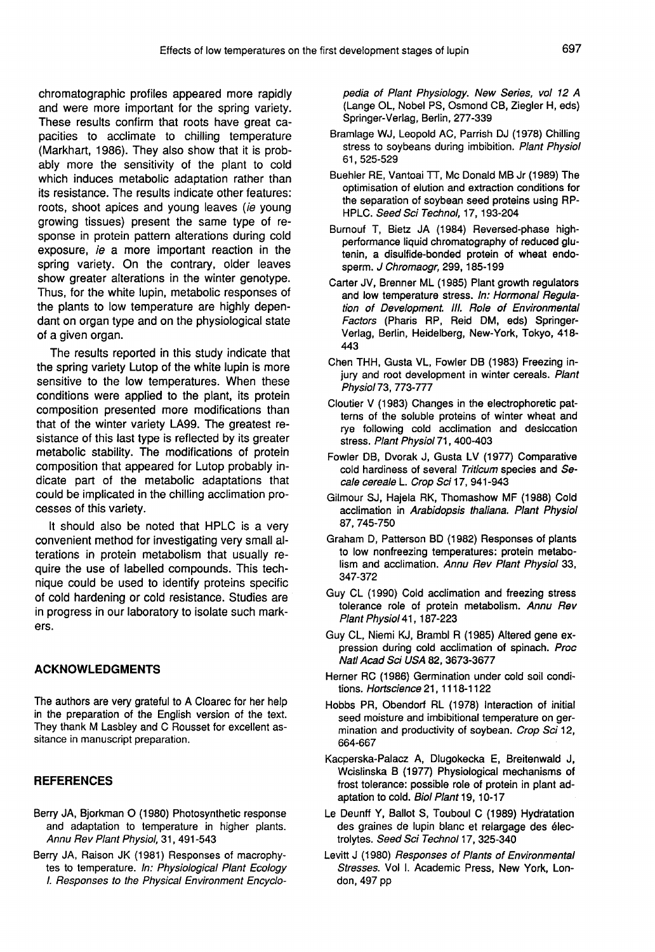chromatographic profiles appeared more rapidly and were more important for the spring variety. These results confirm that roots have great capacities to acclimate to chilling temperature (Markhart, 1986). They also show that it is probably more the sensitivity of the plant to cold which induces metabolic adaptation rather than its resistance. The results indicate other features: roots, shoot apices and young leaves (ie young growing tissues) present the same type of response in protein pattern alterations during cold exposure, ie a more important reaction in the spring variety. On the contrary, older leaves show greater alterations in the winter genotype. Thus, for the white lupin, metabolic responses of the plants to low temperature are highly dependant on organ type and on the physiological state of a given organ.

The results reported in this study indicate that the spring variety Lutop of the white lupin is more sensitive to the low temperatures. When these conditions were applied to the plant, its protein composition presented more modifications than that of the winter variety LA99. The greatest resistance of this last type is reflected by its greater metabolic stability. The modifications of protein composition that appeared for Lutop probably indicate part of the metabolic adaptations that could be implicated in the chilling acclimation processes of this variety.

It should also be noted that HPLC is a very convenient method for investigating very small alterations in protein metabolism that usually require the use of labelled compounds. This technique could be used to identify proteins specific of cold hardening or cold resistance. Studies are in progress in our laboratory to isolate such markers.

## ACKNOWLEDGMENTS

The authors are very grateful to A Cloarec for her help in the preparation of the English version of the text. They thank M Lasbley and C Rousset for excellent assitance in manuscript preparation.

## REFERENCES

- Berry JA, Bjorkman O (1980) Photosynthetic response and adaptation to temperature in higher plants. Annu Rev Plant Physiol, 31, 491-543
- Berry JA, Raison JK (1981) Responses of macrophytes to temperature. In: Physiological Plant Ecology I. Responses to the Physical Environment Encyclo-

pedia of Plant Physiology. New Series, vol 12 A (Lange OL, Nobel PS, Osmond CB, Ziegler H, eds) Springer-Verlag, Berlin, 277-339

- Bramlage WJ, Leopold AC, Parrish DJ (1978) Chilling stress to soybeans during imbibition. Plant Physiol 61, 525-529
- Buehler RE, Vantoai TT, Mc Donald MB Jr (1989) The optimisation of elution and extraction conditions for the separation of soybean seed proteins using RP-HPLC. Seed Sci Technol, 17, 193-204
- Burnouf T, Bietz JA (1984) Reversed-phase highperformance liquid chromatography of reduced glutenin, a disulfide-bonded protein of wheat endosperm. J Chromaogr, 299, 185-199
- Carter JV, Brenner ML (1985) Plant growth regulators and low temperature stress. In: Hormonal Regulation of Development. III. Role of Environmental Factors (Pharis RP, Reid DM, eds) Springer-Verlag, Berlin, Heidelberg, New-York, Tokyo, 418- 443
- Chen THH, Gusta VL, Fowler DB (1983) Freezing injury and root development in winter cereals. Plant Physiol 73, 773-777
- Cloutier V (1983) Changes in the electrophoretic patterns of the soluble proteins of winter wheat and rye following cold acclimation and desiccation stress. Plant Physiol 71, 400-403
- Fowler DB, Dvorak J, Gusta LV (1977) Comparative cold hardiness of several Triticum species and Secale cereale L. Crop Sci 17, 941-943
- Gilmour SJ, Hajela RK, Thomashow MF (1988) Cold acclimation in Arabidopsis thaliana. Plant Physiol 87, 745-750
- Graham D, Patterson BD (1982) Responses of plants to low nonfreezing temperatures: protein metabolism and acclimation. Annu Rev Plant Physiol 33, 347-372
- Guy CL (1990) Cold acclimation and freezing stress tolerance role of protein metabolism. Annu Rev Plant Physiol 41, 187-223
- Guy CL, Niemi KJ, Brambl R (1985) Altered gene expression during cold acclimation of spinach. Proc Natl Acad Sci USA 82, 3673-3677
- Herner RC (1986) Germination under cold soil conditions. Hortscience 21, 1118-1122
- Hobbs PR, Obendorf RL (1978) Interaction of initial seed moisture and imbibitional temperature on germination and productivity of soybean. Crop Sci 12, 664-667
- Kacperska-Palacz A, Dlugokecka E, Breitenwald J, Wcislinska B (1977) Physiological mechanisms of frost tolerance: possible role of protein in plant adaptation to cold. Biol Plant 19, 10-17
- Le Deunff Y, Ballot S, Touboul C (1989) Hydratation des graines de lupin blanc et relargage des électrolytes. Seed Sci Technol 17, 325-340
- Levitt J (1980) Responses of Plants of Environmental Stresses. Vol I. Academic Press, New York, London, 497 pp